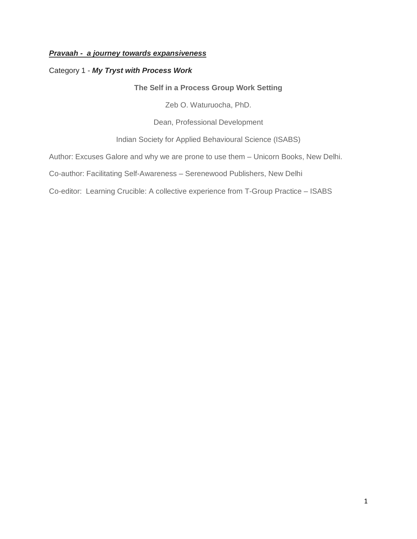## *Pravaah - a journey towards expansiveness*

## Category 1 - *My Tryst with Process Work*

**The Self in a Process Group Work Setting**

Zeb O. Waturuocha, PhD.

Dean, Professional Development

Indian Society for Applied Behavioural Science (ISABS)

Author: Excuses Galore and why we are prone to use them – Unicorn Books, New Delhi.

Co-author: Facilitating Self-Awareness – Serenewood Publishers, New Delhi

Co-editor: Learning Crucible: A collective experience from T-Group Practice – ISABS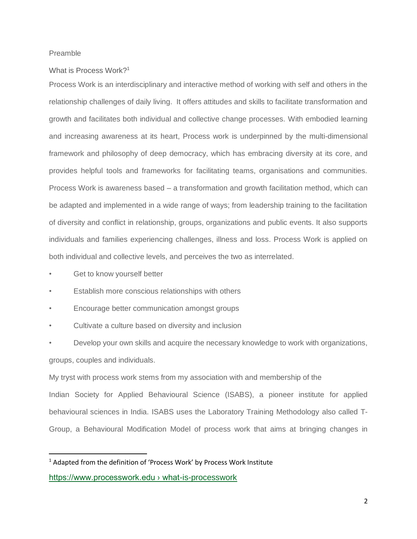#### Preamble

## What is Process Work? 1

Process Work is an interdisciplinary and interactive method of working with self and others in the relationship challenges of daily living. It offers attitudes and skills to facilitate transformation and growth and facilitates both individual and collective change processes. With embodied learning and increasing awareness at its heart, Process work is underpinned by the multi-dimensional framework and philosophy of deep democracy, which has embracing diversity at its core, and provides helpful tools and frameworks for facilitating teams, organisations and communities. Process Work is awareness based – a transformation and growth facilitation method, which can be adapted and implemented in a wide range of ways; from leadership training to the facilitation of diversity and conflict in relationship, groups, organizations and public events. It also supports individuals and families experiencing challenges, illness and loss. Process Work is applied on both individual and collective levels, and perceives the two as interrelated.

- Get to know yourself better
- Establish more conscious relationships with others
- Encourage better communication amongst groups
- Cultivate a culture based on diversity and inclusion
- Develop your own skills and acquire the necessary knowledge to work with organizations,

groups, couples and individuals.

1

My tryst with process work stems from my association with and membership of the Indian Society for Applied Behavioural Science (ISABS), a pioneer institute for applied behavioural sciences in India. ISABS uses the Laboratory Training Methodology also called T-

Group, a Behavioural Modification Model of process work that aims at bringing changes in

<sup>&</sup>lt;sup>1</sup>Adapted from the definition of 'Process Work' by Process Work Institute [https://www.processwork.edu › what-is-processwork](https://www.processwork.edu/what-is-processwork/)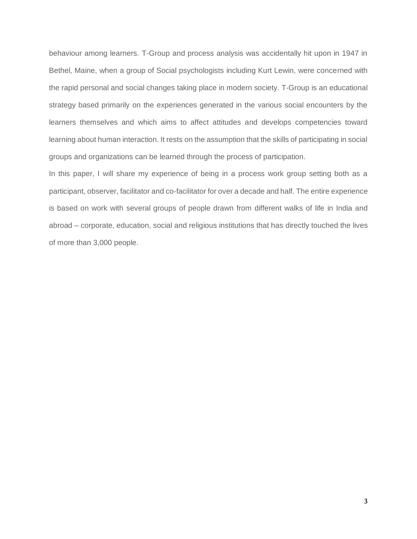behaviour among learners. T-Group and process analysis was accidentally hit upon in 1947 in Bethel, Maine, when a group of Social psychologists including Kurt Lewin, were concerned with the rapid personal and social changes taking place in modern society. T-Group is an educational strategy based primarily on the experiences generated in the various social encounters by the learners themselves and which aims to affect attitudes and develops competencies toward learning about human interaction. It rests on the assumption that the skills of participating in social groups and organizations can be learned through the process of participation.

In this paper, I will share my experience of being in a process work group setting both as a participant, observer, facilitator and co-facilitator for over a decade and half. The entire experience is based on work with several groups of people drawn from different walks of life in India and abroad – corporate, education, social and religious institutions that has directly touched the lives of more than 3,000 people.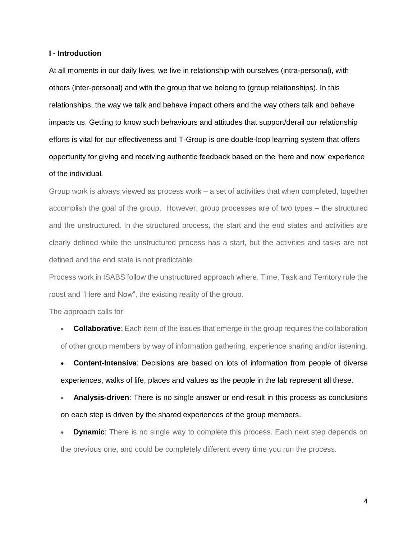#### **I - Introduction**

At all moments in our daily lives, we live in relationship with ourselves (intra-personal), with others (inter-personal) and with the group that we belong to (group relationships). In this relationships, the way we talk and behave impact others and the way others talk and behave impacts us. Getting to know such behaviours and attitudes that support/derail our relationship efforts is vital for our effectiveness and T-Group is one double-loop learning system that offers opportunity for giving and receiving authentic feedback based on the 'here and now' experience of the individual.

Group work is always viewed as process work – a set of activities that when completed, together accomplish the goal of the group. However, group processes are of two types – the structured and the unstructured. In the structured process, the start and the end states and activities are clearly defined while the unstructured process has a start, but the activities and tasks are not defined and the end state is not predictable.

Process work in ISABS follow the unstructured approach where, Time, Task and Territory rule the roost and "Here and Now", the existing reality of the group.

The approach calls for

**Collaborative:** Each item of the issues that emerge in the group requires the collaboration of other group members by way of information gathering, experience sharing and/or listening.

 **Content-Intensive**: Decisions are based on lots of information from people of diverse experiences, walks of life, places and values as the people in the lab represent all these.

 **Analysis-driven**: There is no single answer or end-result in this process as conclusions on each step is driven by the shared experiences of the group members.

**Dynamic**: There is no single way to complete this process. Each next step depends on the previous one, and could be completely different every time you run the process.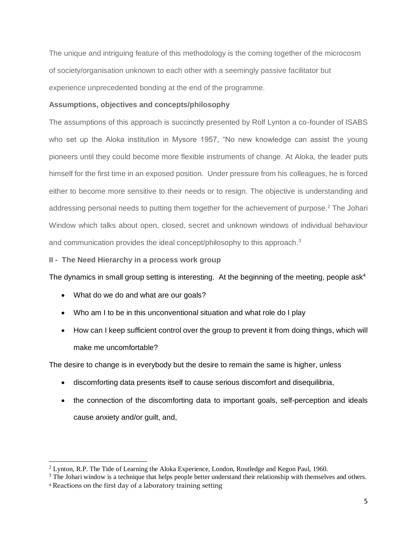The unique and intriguing feature of this methodology is the coming together of the microcosm of society/organisation unknown to each other with a seemingly passive facilitator but experience unprecedented bonding at the end of the programme.

## **Assumptions, objectives and concepts/philosophy**

The assumptions of this approach is succinctly presented by Rolf Lynton a co-founder of ISABS who set up the Aloka institution in Mysore 1957, "No new knowledge can assist the young pioneers until they could become more flexible instruments of change. At Aloka, the leader puts himself for the first time in an exposed position. Under pressure from his colleagues, he is forced either to become more sensitive to their needs or to resign. The objective is understanding and addressing personal needs to putting them together for the achievement of purpose.<sup>2</sup> The Johari Window which talks about open, closed, secret and unknown windows of individual behaviour and communication provides the ideal concept/philosophy to this approach.<sup>3</sup>

**II - The Need Hierarchy in a process work group** 

The dynamics in small group setting is interesting. At the beginning of the meeting, people as $k^4$ 

- What do we do and what are our goals?
- Who am I to be in this unconventional situation and what role do I play
- How can I keep sufficient control over the group to prevent it from doing things, which will make me uncomfortable?

The desire to change is in everybody but the desire to remain the same is higher, unless

- discomforting data presents itself to cause serious discomfort and disequilibria,
- the connection of the discomforting data to important goals, self-perception and ideals cause anxiety and/or guilt, and,

<sup>1</sup> <sup>2</sup> Lynton, R.P. The Tide of Learning the Aloka Experience, London, Routledge and Kegon Paul, 1960.

<sup>&</sup>lt;sup>3</sup> The Johari window is a technique that helps people better understand their relationship with themselves and others.

<sup>4</sup> Reactions on the first day of a laboratory training setting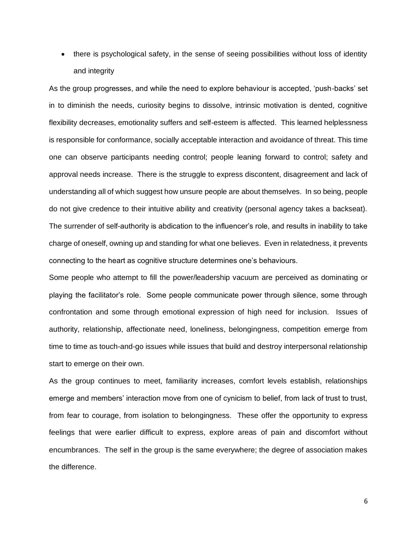• there is psychological safety, in the sense of seeing possibilities without loss of identity and integrity

As the group progresses, and while the need to explore behaviour is accepted, 'push-backs' set in to diminish the needs, curiosity begins to dissolve, intrinsic motivation is dented, cognitive flexibility decreases, emotionality suffers and self-esteem is affected. This learned helplessness is responsible for conformance, socially acceptable interaction and avoidance of threat. This time one can observe participants needing control; people leaning forward to control; safety and approval needs increase. There is the struggle to express discontent, disagreement and lack of understanding all of which suggest how unsure people are about themselves. In so being, people do not give credence to their intuitive ability and creativity (personal agency takes a backseat). The surrender of self-authority is abdication to the influencer's role, and results in inability to take charge of oneself, owning up and standing for what one believes. Even in relatedness, it prevents connecting to the heart as cognitive structure determines one's behaviours.

Some people who attempt to fill the power/leadership vacuum are perceived as dominating or playing the facilitator's role. Some people communicate power through silence, some through confrontation and some through emotional expression of high need for inclusion. Issues of authority, relationship, affectionate need, loneliness, belongingness, competition emerge from time to time as touch-and-go issues while issues that build and destroy interpersonal relationship start to emerge on their own.

As the group continues to meet, familiarity increases, comfort levels establish, relationships emerge and members' interaction move from one of cynicism to belief, from lack of trust to trust, from fear to courage, from isolation to belongingness. These offer the opportunity to express feelings that were earlier difficult to express, explore areas of pain and discomfort without encumbrances. The self in the group is the same everywhere; the degree of association makes the difference.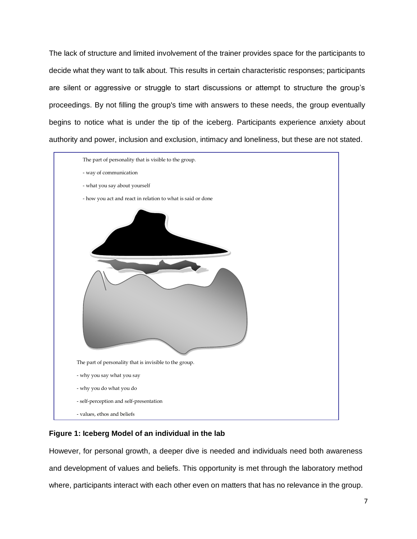The lack of structure and limited involvement of the trainer provides space for the participants to decide what they want to talk about. This results in certain characteristic responses; participants are silent or aggressive or struggle to start discussions or attempt to structure the group's proceedings. By not filling the group's time with answers to these needs, the group eventually begins to notice what is under the tip of the iceberg. Participants experience anxiety about authority and power, inclusion and exclusion, intimacy and loneliness, but these are not stated.



#### **Figure 1: Iceberg Model of an individual in the lab**

However, for personal growth, a deeper dive is needed and individuals need both awareness and development of values and beliefs. This opportunity is met through the laboratory method where, participants interact with each other even on matters that has no relevance in the group.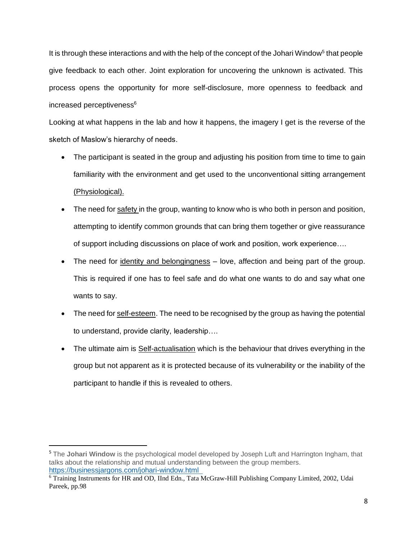It is through these interactions and with the help of the concept of the Johari Window<sup>5</sup> that people give feedback to each other. Joint exploration for uncovering the unknown is activated. This process opens the opportunity for more self-disclosure, more openness to feedback and increased perceptiveness<sup>6</sup>

Looking at what happens in the lab and how it happens, the imagery I get is the reverse of the sketch of Maslow's hierarchy of needs.

- The participant is seated in the group and adjusting his position from time to time to gain familiarity with the environment and get used to the unconventional sitting arrangement (Physiological).
- The need for safety in the group, wanting to know who is who both in person and position, attempting to identify common grounds that can bring them together or give reassurance of support including discussions on place of work and position, work experience….
- The need for identity and belongingness love, affection and being part of the group. This is required if one has to feel safe and do what one wants to do and say what one wants to say.
- The need for self-esteem. The need to be recognised by the group as having the potential to understand, provide clarity, leadership….
- The ultimate aim is Self-actualisation which is the behaviour that drives everything in the group but not apparent as it is protected because of its vulnerability or the inability of the participant to handle if this is revealed to others.

<sup>&</sup>lt;sup>5</sup> The **Johari Window** is the psychological model developed by Joseph Luft and Harrington Ingham, that talks about the relationship and mutual understanding between the group members. <https://businessjargons.com/johari-window.html>

<sup>6</sup> Training Instruments for HR and OD, IInd Edn., Tata McGraw-Hill Publishing Company Limited, 2002, Udai Pareek, pp.98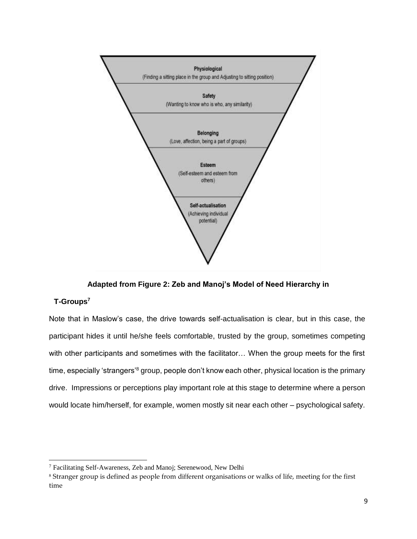

**Adapted from Figure 2: Zeb and Manoj's Model of Need Hierarchy in**

## **T-Groups<sup>7</sup>**

1

Note that in Maslow's case, the drive towards self-actualisation is clear, but in this case, the participant hides it until he/she feels comfortable, trusted by the group, sometimes competing with other participants and sometimes with the facilitator… When the group meets for the first time, especially 'strangers'<sup>8</sup> group, people don't know each other, physical location is the primary drive. Impressions or perceptions play important role at this stage to determine where a person would locate him/herself, for example, women mostly sit near each other – psychological safety.

<sup>7</sup> Facilitating Self-Awareness, Zeb and Manoj; Serenewood, New Delhi

<sup>8</sup> Stranger group is defined as people from different organisations or walks of life, meeting for the first time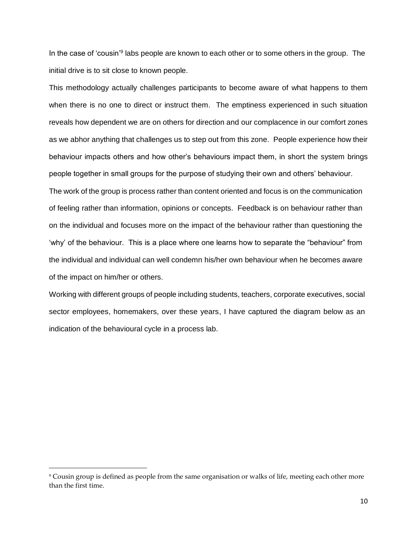In the case of 'cousin'<sup>9</sup> labs people are known to each other or to some others in the group. The initial drive is to sit close to known people.

This methodology actually challenges participants to become aware of what happens to them when there is no one to direct or instruct them. The emptiness experienced in such situation reveals how dependent we are on others for direction and our complacence in our comfort zones as we abhor anything that challenges us to step out from this zone. People experience how their behaviour impacts others and how other's behaviours impact them, in short the system brings people together in small groups for the purpose of studying their own and others' behaviour.

The work of the group is process rather than content oriented and focus is on the communication of feeling rather than information, opinions or concepts. Feedback is on behaviour rather than on the individual and focuses more on the impact of the behaviour rather than questioning the 'why' of the behaviour. This is a place where one learns how to separate the "behaviour" from the individual and individual can well condemn his/her own behaviour when he becomes aware of the impact on him/her or others.

Working with different groups of people including students, teachers, corporate executives, social sector employees, homemakers, over these years, I have captured the diagram below as an indication of the behavioural cycle in a process lab.

1

<sup>9</sup> Cousin group is defined as people from the same organisation or walks of life, meeting each other more than the first time.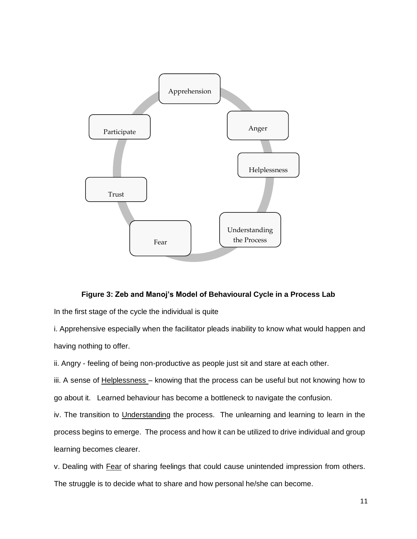

#### **Figure 3: Zeb and Manoj's Model of Behavioural Cycle in a Process Lab**

In the first stage of the cycle the individual is quite

i. Apprehensive especially when the facilitator pleads inability to know what would happen and having nothing to offer.

ii. Angry - feeling of being non-productive as people just sit and stare at each other.

iii. A sense of **Helplessness** – knowing that the process can be useful but not knowing how to go about it. Learned behaviour has become a bottleneck to navigate the confusion.

iv. The transition to Understanding the process. The unlearning and learning to learn in the process begins to emerge. The process and how it can be utilized to drive individual and group learning becomes clearer.

v. Dealing with Fear of sharing feelings that could cause unintended impression from others. The struggle is to decide what to share and how personal he/she can become.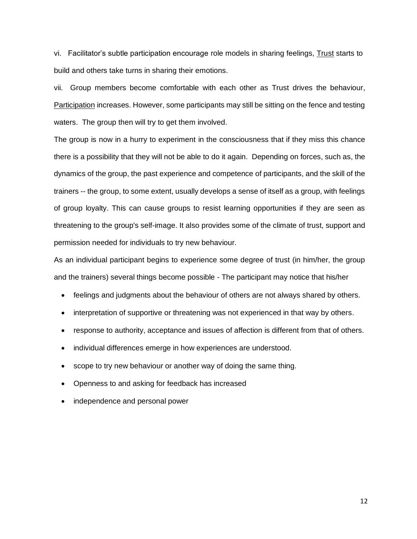vi. Facilitator's subtle participation encourage role models in sharing feelings, Trust starts to build and others take turns in sharing their emotions.

vii. Group members become comfortable with each other as Trust drives the behaviour, Participation increases. However, some participants may still be sitting on the fence and testing waters. The group then will try to get them involved.

The group is now in a hurry to experiment in the consciousness that if they miss this chance there is a possibility that they will not be able to do it again. Depending on forces, such as, the dynamics of the group, the past experience and competence of participants, and the skill of the trainers -- the group, to some extent, usually develops a sense of itself as a group, with feelings of group loyalty. This can cause groups to resist learning opportunities if they are seen as threatening to the group's self-image. It also provides some of the climate of trust, support and permission needed for individuals to try new behaviour.

As an individual participant begins to experience some degree of trust (in him/her, the group and the trainers) several things become possible - The participant may notice that his/her

- feelings and judgments about the behaviour of others are not always shared by others.
- interpretation of supportive or threatening was not experienced in that way by others.
- response to authority, acceptance and issues of affection is different from that of others.
- individual differences emerge in how experiences are understood.
- scope to try new behaviour or another way of doing the same thing.
- Openness to and asking for feedback has increased
- independence and personal power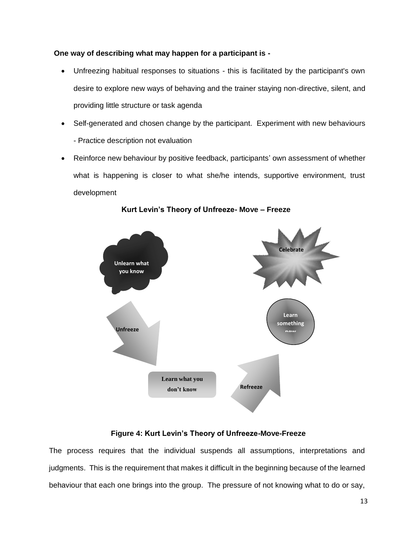## **One way of describing what may happen for a participant is -**

- Unfreezing habitual responses to situations this is facilitated by the participant's own desire to explore new ways of behaving and the trainer staying non-directive, silent, and providing little structure or task agenda
- Self-generated and chosen change by the participant. Experiment with new behaviours - Practice description not evaluation
- Reinforce new behaviour by positive feedback, participants' own assessment of whether what is happening is closer to what she/he intends, supportive environment, trust development



**Kurt Levin's Theory of Unfreeze- Move – Freeze**

#### **Figure 4: Kurt Levin's Theory of Unfreeze-Move-Freeze Transmission**

The process requires that the individual suspends all assumptions, interpretations and judgments. This is the requirement that makes it difficult in the beginning because of the learned behaviour that each one brings into the group. The pressure of not knowing what to do or say,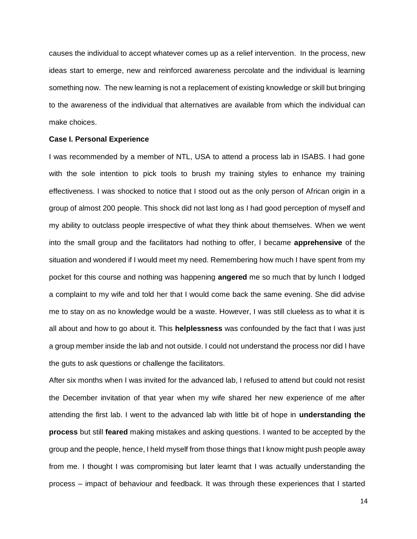causes the individual to accept whatever comes up as a relief intervention. In the process, new ideas start to emerge, new and reinforced awareness percolate and the individual is learning something now. The new learning is not a replacement of existing knowledge or skill but bringing to the awareness of the individual that alternatives are available from which the individual can make choices.

#### **Case I. Personal Experience**

I was recommended by a member of NTL, USA to attend a process lab in ISABS. I had gone with the sole intention to pick tools to brush my training styles to enhance my training effectiveness. I was shocked to notice that I stood out as the only person of African origin in a group of almost 200 people. This shock did not last long as I had good perception of myself and my ability to outclass people irrespective of what they think about themselves. When we went into the small group and the facilitators had nothing to offer, I became **apprehensive** of the situation and wondered if I would meet my need. Remembering how much I have spent from my pocket for this course and nothing was happening **angered** me so much that by lunch I lodged a complaint to my wife and told her that I would come back the same evening. She did advise me to stay on as no knowledge would be a waste. However, I was still clueless as to what it is all about and how to go about it. This **helplessness** was confounded by the fact that I was just a group member inside the lab and not outside. I could not understand the process nor did I have the guts to ask questions or challenge the facilitators.

After six months when I was invited for the advanced lab, I refused to attend but could not resist the December invitation of that year when my wife shared her new experience of me after attending the first lab. I went to the advanced lab with little bit of hope in **understanding the process** but still **feared** making mistakes and asking questions. I wanted to be accepted by the group and the people, hence, I held myself from those things that I know might push people away from me. I thought I was compromising but later learnt that I was actually understanding the process – impact of behaviour and feedback. It was through these experiences that I started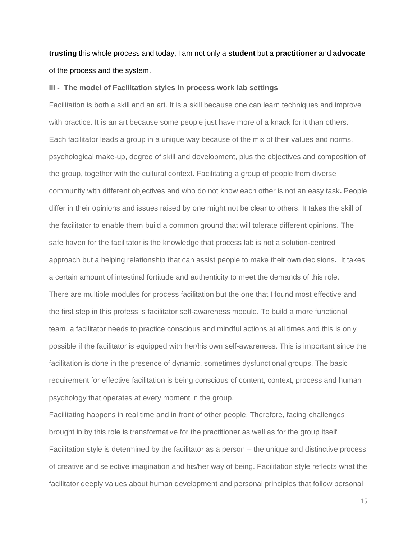# **trusting** this whole process and today, I am not only a **student** but a **practitioner** and **advocate** of the process and the system.

#### **III - The model of Facilitation styles in process work lab settings**

Facilitation is both a skill and an art. It is a skill because one can learn techniques and improve with practice. It is an art because some people just have more of a knack for it than others. Each facilitator leads a group in a unique way because of the mix of their values and norms, psychological make-up, degree of skill and development, plus the objectives and composition of the group, together with the cultural context. Facilitating a group of people from diverse community with different objectives and who do not know each other is not an easy task**.** People differ in their opinions and issues raised by one might not be clear to others. It takes the skill of the facilitator to enable them build a common ground that will tolerate different opinions. The safe haven for the facilitator is the knowledge that process lab is not a solution-centred approach but a helping relationship that can assist people to make their own decisions**.** It takes a certain amount of intestinal fortitude and authenticity to meet the demands of this role. There are multiple modules for process facilitation but the one that I found most effective and the first step in this profess is facilitator self-awareness module. To build a more functional team, a facilitator needs to practice conscious and mindful actions at all times and this is only possible if the facilitator is equipped with her/his own self-awareness. This is important since the facilitation is done in the presence of dynamic, sometimes dysfunctional groups. The basic requirement for effective facilitation is being conscious of content, context, process and human psychology that operates at every moment in the group.

Facilitating happens in real time and in front of other people. Therefore, facing challenges brought in by this role is transformative for the practitioner as well as for the group itself. Facilitation style is determined by the facilitator as a person – the unique and distinctive process of creative and selective imagination and his/her way of being. Facilitation style reflects what the facilitator deeply values about human development and personal principles that follow personal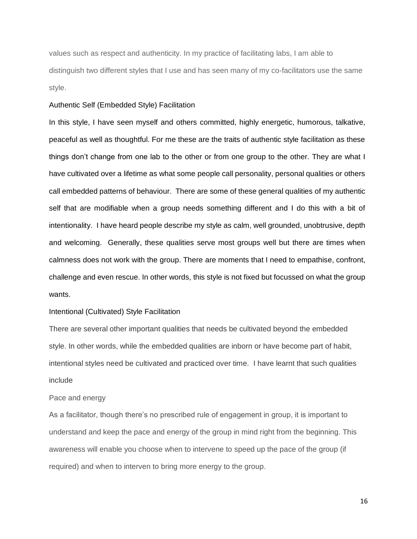values such as respect and authenticity. In my practice of facilitating labs, I am able to distinguish two different styles that I use and has seen many of my co-facilitators use the same style.

#### Authentic Self (Embedded Style) Facilitation

In this style, I have seen myself and others committed, highly energetic, humorous, talkative, peaceful as well as thoughtful. For me these are the traits of authentic style facilitation as these things don't change from one lab to the other or from one group to the other. They are what I have cultivated over a lifetime as what some people call personality, personal qualities or others call embedded patterns of behaviour. There are some of these general qualities of my authentic self that are modifiable when a group needs something different and I do this with a bit of intentionality. I have heard people describe my style as calm, well grounded, unobtrusive, depth and welcoming. Generally, these qualities serve most groups well but there are times when calmness does not work with the group. There are moments that I need to empathise, confront, challenge and even rescue. In other words, this style is not fixed but focussed on what the group wants.

#### Intentional (Cultivated) Style Facilitation

There are several other important qualities that needs be cultivated beyond the embedded style. In other words, while the embedded qualities are inborn or have become part of habit, intentional styles need be cultivated and practiced over time. I have learnt that such qualities include

#### Pace and energy

As a facilitator, though there's no prescribed rule of engagement in group, it is important to understand and keep the pace and energy of the group in mind right from the beginning. This awareness will enable you choose when to intervene to speed up the pace of the group (if required) and when to interven to bring more energy to the group.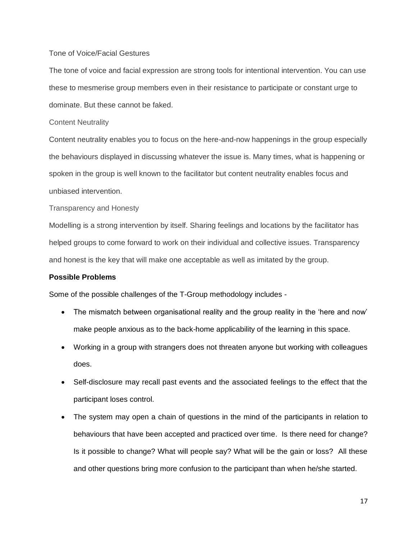## Tone of Voice/Facial Gestures

The tone of voice and facial expression are strong tools for intentional intervention. You can use these to mesmerise group members even in their resistance to participate or constant urge to dominate. But these cannot be faked.

#### Content Neutrality

Content neutrality enables you to focus on the here-and-now happenings in the group especially the behaviours displayed in discussing whatever the issue is. Many times, what is happening or spoken in the group is well known to the facilitator but content neutrality enables focus and unbiased intervention.

Transparency and Honesty

Modelling is a strong intervention by itself. Sharing feelings and locations by the facilitator has helped groups to come forward to work on their individual and collective issues. Transparency and honest is the key that will make one acceptable as well as imitated by the group.

#### **Possible Problems**

Some of the possible challenges of the T-Group methodology includes -

- The mismatch between organisational reality and the group reality in the 'here and now' make people anxious as to the back-home applicability of the learning in this space.
- Working in a group with strangers does not threaten anyone but working with colleagues does.
- Self-disclosure may recall past events and the associated feelings to the effect that the participant loses control.
- The system may open a chain of questions in the mind of the participants in relation to behaviours that have been accepted and practiced over time. Is there need for change? Is it possible to change? What will people say? What will be the gain or loss? All these and other questions bring more confusion to the participant than when he/she started.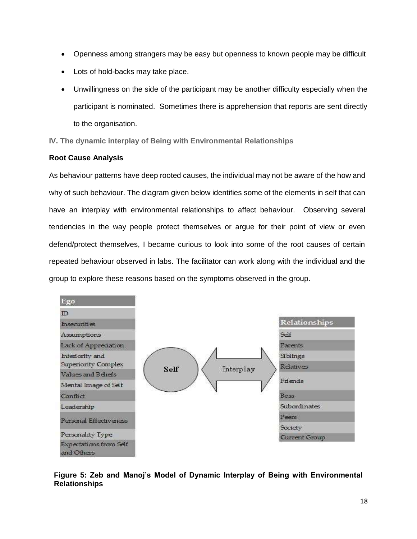- Openness among strangers may be easy but openness to known people may be difficult
- Lots of hold-backs may take place.
- Unwillingness on the side of the participant may be another difficulty especially when the participant is nominated. Sometimes there is apprehension that reports are sent directly to the organisation.

**IV. The dynamic interplay of Being with Environmental Relationships**

### **Root Cause Analysis**

As behaviour patterns have deep rooted causes, the individual may not be aware of the how and why of such behaviour. The diagram given below identifies some of the elements in self that can have an interplay with environmental relationships to affect behaviour. Observing several tendencies in the way people protect themselves or argue for their point of view or even defend/protect themselves, I became curious to look into some of the root causes of certain repeated behaviour observed in labs. The facilitator can work along with the individual and the group to explore these reasons based on the symptoms observed in the group.



## **Figure 5: Zeb and Manoj's Model of Dynamic Interplay of Being with Environmental Relationships**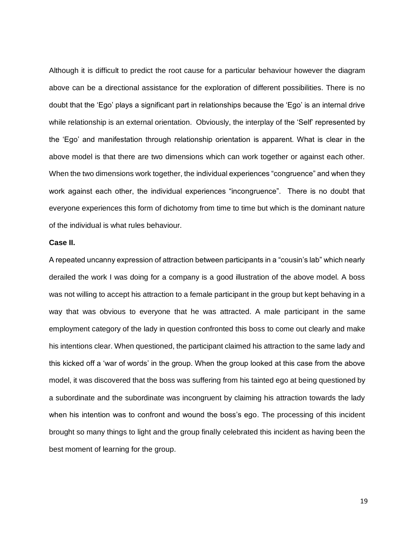Although it is difficult to predict the root cause for a particular behaviour however the diagram above can be a directional assistance for the exploration of different possibilities. There is no doubt that the 'Ego' plays a significant part in relationships because the 'Ego' is an internal drive while relationship is an external orientation. Obviously, the interplay of the 'Self' represented by the 'Ego' and manifestation through relationship orientation is apparent. What is clear in the above model is that there are two dimensions which can work together or against each other. When the two dimensions work together, the individual experiences "congruence" and when they work against each other, the individual experiences "incongruence". There is no doubt that everyone experiences this form of dichotomy from time to time but which is the dominant nature of the individual is what rules behaviour.

#### **Case II.**

A repeated uncanny expression of attraction between participants in a "cousin's lab" which nearly derailed the work I was doing for a company is a good illustration of the above model. A boss was not willing to accept his attraction to a female participant in the group but kept behaving in a way that was obvious to everyone that he was attracted. A male participant in the same employment category of the lady in question confronted this boss to come out clearly and make his intentions clear. When questioned, the participant claimed his attraction to the same lady and this kicked off a 'war of words' in the group. When the group looked at this case from the above model, it was discovered that the boss was suffering from his tainted ego at being questioned by a subordinate and the subordinate was incongruent by claiming his attraction towards the lady when his intention was to confront and wound the boss's ego. The processing of this incident brought so many things to light and the group finally celebrated this incident as having been the best moment of learning for the group.